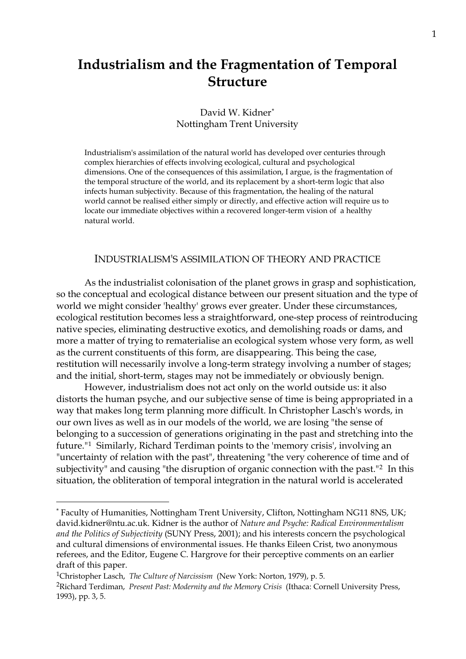# **Industrialism and the Fragmentation of Temporal Structure**

# David W. Kidner[\\*](#page-0-0) Nottingham Trent University

Industrialism's assimilation of the natural world has developed over centuries through complex hierarchies of effects involving ecological, cultural and psychological dimensions. One of the consequences of this assimilation, I argue, is the fragmentation of the temporal structure of the world, and its replacement by a short-term logic that also infects human subjectivity. Because of this fragmentation, the healing of the natural world cannot be realised either simply or directly, and effective action will require us to locate our immediate objectives within a recovered longer-term vision of a healthy natural world.

## INDUSTRIALISM'S ASSIMILATION OF THEORY AND PRACTICE

 As the industrialist colonisation of the planet grows in grasp and sophistication, so the conceptual and ecological distance between our present situation and the type of world we might consider 'healthy' grows ever greater. Under these circumstances, ecological restitution becomes less a straightforward, one-step process of reintroducing native species, eliminating destructive exotics, and demolishing roads or dams, and more a matter of trying to rematerialise an ecological system whose very form, as well as the current constituents of this form, are disappearing. This being the case, restitution will necessarily involve a long-term strategy involving a number of stages; and the initial, short-term, stages may not be immediately or obviously benign.

 However, industrialism does not act only on the world outside us: it also distorts the human psyche, and our subjective sense of time is being appropriated in a way that makes long term planning more difficult. In Christopher Lasch's words, in our own lives as well as in our models of the world, we are losing "the sense of belonging to a succession of generations originating in the past and stretching into the future."[1](#page-0-1) Similarly, Richard Terdiman points to the 'memory crisis', involving an "uncertainty of relation with the past", threatening "the very coherence of time and of subjectivity" and causing "the disruption of organic connection with the past."[2](#page-0-2) In this situation, the obliteration of temporal integration in the natural world is accelerated

<span id="page-0-0"></span><sup>\*</sup> Faculty of Humanities, Nottingham Trent University, Clifton, Nottingham NG11 8NS, UK; david.kidner@ntu.ac.uk. Kidner is the author of *Nature and Psyche: Radical Environmentalism and the Politics of Subjectivity* (SUNY Press, 2001); and his interests concern the psychological and cultural dimensions of environmental issues. He thanks Eileen Crist, two anonymous referees, and the Editor, Eugene C. Hargrove for their perceptive comments on an earlier draft of this paper.

<span id="page-0-2"></span><span id="page-0-1"></span><sup>1</sup>Christopher Lasch, *The Culture of Narcissism* (New York: Norton, 1979), p. 5. 2Richard Terdiman, *Present Past: Modernity and the Memory Crisis* (Ithaca: Cornell University Press, 1993), pp. 3, 5.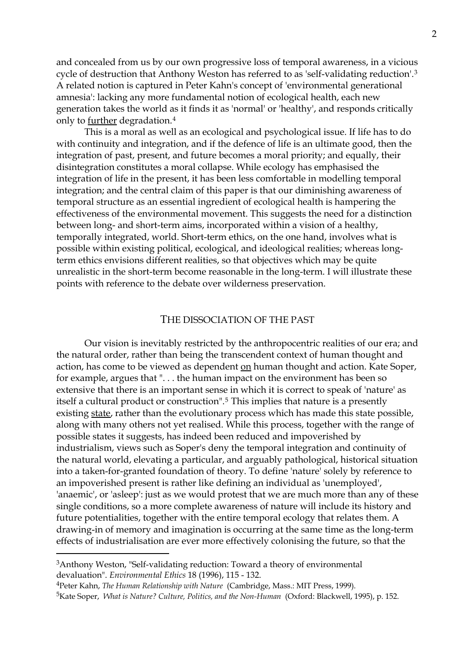and concealed from us by our own progressive loss of temporal awareness, in a vicious cycle of destruction that Anthony Weston has referred to as 'self-validating reduction'.[3](#page-1-0) A related notion is captured in Peter Kahn's concept of 'environmental generational amnesia': lacking any more fundamental notion of ecological health, each new generation takes the world as it finds it as 'normal' or 'healthy', and responds critically only to further degradation.[4](#page-1-1)

 This is a moral as well as an ecological and psychological issue. If life has to do with continuity and integration, and if the defence of life is an ultimate good, then the integration of past, present, and future becomes a moral priority; and equally, their disintegration constitutes a moral collapse. While ecology has emphasised the integration of life in the present, it has been less comfortable in modelling temporal integration; and the central claim of this paper is that our diminishing awareness of temporal structure as an essential ingredient of ecological health is hampering the effectiveness of the environmental movement. This suggests the need for a distinction between long- and short-term aims, incorporated within a vision of a healthy, temporally integrated, world. Short-term ethics, on the one hand, involves what is possible within existing political, ecological, and ideological realities; whereas longterm ethics envisions different realities, so that objectives which may be quite unrealistic in the short-term become reasonable in the long-term. I will illustrate these points with reference to the debate over wilderness preservation.

## THE DISSOCIATION OF THE PAST

 Our vision is inevitably restricted by the anthropocentric realities of our era; and the natural order, rather than being the transcendent context of human thought and action, has come to be viewed as dependent on human thought and action. Kate Soper, for example, argues that ". . . the human impact on the environment has been so extensive that there is an important sense in which it is correct to speak of 'nature' as itself a cultural product or construction".[5](#page-1-2) This implies that nature is a presently existing state, rather than the evolutionary process which has made this state possible, along with many others not yet realised. While this process, together with the range of possible states it suggests, has indeed been reduced and impoverished by industrialism, views such as Soper's deny the temporal integration and continuity of the natural world, elevating a particular, and arguably pathological, historical situation into a taken-for-granted foundation of theory. To define 'nature' solely by reference to an impoverished present is rather like defining an individual as 'unemployed', 'anaemic', or 'asleep': just as we would protest that we are much more than any of these single conditions, so a more complete awareness of nature will include its history and future potentialities, together with the entire temporal ecology that relates them. A drawing-in of memory and imagination is occurring at the same time as the long-term effects of industrialisation are ever more effectively colonising the future, so that the

<span id="page-1-0"></span><sup>3</sup>Anthony Weston, "Self-validating reduction: Toward a theory of environmental devaluation". *Environmental Ethics* 18 (1996), 115 - 132.

<span id="page-1-1"></span><sup>4</sup>Peter Kahn, *The Human Relationship with Nature* (Cambridge, Mass.: MIT Press, 1999).

<span id="page-1-2"></span><sup>5</sup>Kate Soper, *What is Nature? Culture, Politics, and the Non-Human* (Oxford: Blackwell, 1995), p. 152.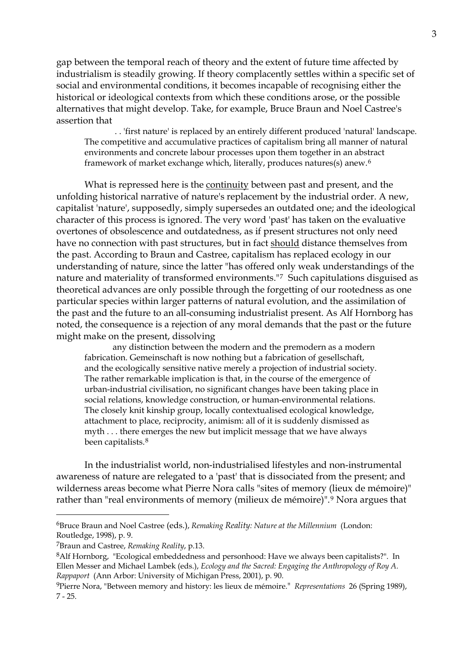gap between the temporal reach of theory and the extent of future time affected by industrialism is steadily growing. If theory complacently settles within a specific set of social and environmental conditions, it becomes incapable of recognising either the historical or ideological contexts from which these conditions arose, or the possible alternatives that might develop. Take, for example, Bruce Braun and Noel Castree's assertion that

 . . 'first nature' is replaced by an entirely different produced 'natural' landscape. The competitive and accumulative practices of capitalism bring all manner of natural environments and concrete labour processes upon them together in an abstract framework of market exchange which, literally, produces natures(s) anew.[6](#page-2-0)

 What is repressed here is the continuity between past and present, and the unfolding historical narrative of nature's replacement by the industrial order. A new, capitalist 'nature', supposedly, simply supersedes an outdated one; and the ideological character of this process is ignored. The very word 'past' has taken on the evaluative overtones of obsolescence and outdatedness, as if present structures not only need have no connection with past structures, but in fact should distance themselves from the past. According to Braun and Castree, capitalism has replaced ecology in our understanding of nature, since the latter "has offered only weak understandings of the nature and materiality of transformed environments."[7](#page-2-1) Such capitulations disguised as theoretical advances are only possible through the forgetting of our rootedness as one particular species within larger patterns of natural evolution, and the assimilation of the past and the future to an all-consuming industrialist present. As Alf Hornborg has noted, the consequence is a rejection of any moral demands that the past or the future might make on the present, dissolving

any distinction between the modern and the premodern as a modern fabrication. Gemeinschaft is now nothing but a fabrication of gesellschaft, and the ecologically sensitive native merely a projection of industrial society. The rather remarkable implication is that, in the course of the emergence of urban-industrial civilisation, no significant changes have been taking place in social relations, knowledge construction, or human-environmental relations. The closely knit kinship group, locally contextualised ecological knowledge, attachment to place, reciprocity, animism: all of it is suddenly dismissed as myth . . . there emerges the new but implicit message that we have always been capitalists.[8](#page-2-2)

 In the industrialist world, non-industrialised lifestyles and non-instrumental awareness of nature are relegated to a 'past' that is dissociated from the present; and wilderness areas become what Pierre Nora calls "sites of memory (lieux de mémoire)" rather than "real environments of memory (milieux de mémoire)".[9](#page-2-3) Nora argues that

<span id="page-2-0"></span><sup>6</sup>Bruce Braun and Noel Castree (eds.), *Remaking Reality: Nature at the Millennium* (London: Routledge, 1998), p. 9.

<span id="page-2-1"></span><sup>7</sup>Braun and Castree, *Remaking Reality*, p.13.

<span id="page-2-2"></span><sup>&</sup>lt;sup>8</sup>Alf Hornborg, "Ecological embeddedness and personhood: Have we always been capitalists?". In Ellen Messer and Michael Lambek (eds.), *Ecology and the Sacred: Engaging the Anthropology of Roy A. Rappaport* (Ann Arbor: University of Michigan Press, 2001), p. 90.

<span id="page-2-3"></span><sup>9</sup>Pierre Nora, "Between memory and history: les lieux de mémoire." *Representations* 26 (Spring 1989), 7 - 25.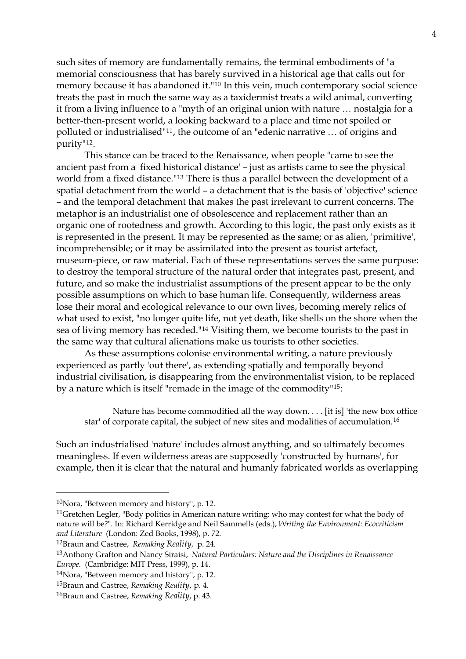such sites of memory are fundamentally remains, the terminal embodiments of "a memorial consciousness that has barely survived in a historical age that calls out for memory because it has abandoned it."[10](#page-3-0) In this vein, much contemporary social science treats the past in much the same way as a taxidermist treats a wild animal, converting it from a living influence to a "myth of an original union with nature … nostalgia for a better-then-present world, a looking backward to a place and time not spoiled or polluted or industrialised"[11](#page-3-1), the outcome of an "edenic narrative … of origins and purity"[12](#page-3-2).

 This stance can be traced to the Renaissance, when people "came to see the ancient past from a 'fixed historical distance' – just as artists came to see the physical world from a fixed distance."[13](#page-3-3) There is thus a parallel between the development of a spatial detachment from the world – a detachment that is the basis of 'objective' science – and the temporal detachment that makes the past irrelevant to current concerns. The metaphor is an industrialist one of obsolescence and replacement rather than an organic one of rootedness and growth. According to this logic, the past only exists as it is represented in the present. It may be represented as the same; or as alien, 'primitive', incomprehensible; or it may be assimilated into the present as tourist artefact, museum-piece, or raw material. Each of these representations serves the same purpose: to destroy the temporal structure of the natural order that integrates past, present, and future, and so make the industrialist assumptions of the present appear to be the only possible assumptions on which to base human life. Consequently, wilderness areas lose their moral and ecological relevance to our own lives, becoming merely relics of what used to exist, "no longer quite life, not yet death, like shells on the shore when the sea of living memory has receded."[14](#page-3-4) Visiting them, we become tourists to the past in the same way that cultural alienations make us tourists to other societies.

 As these assumptions colonise environmental writing, a nature previously experienced as partly 'out there', as extending spatially and temporally beyond industrial civilisation, is disappearing from the environmentalist vision, to be replaced by a nature which is itself "remade in the image of the commodity"[15](#page-3-5):

Nature has become commodified all the way down. . . . [it is] 'the new box office star' of corporate capital, the subject of new sites and modalities of accumulation.[16](#page-3-6)

Such an industrialised 'nature' includes almost anything, and so ultimately becomes meaningless. If even wilderness areas are supposedly 'constructed by humans', for example, then it is clear that the natural and humanly fabricated worlds as overlapping

<span id="page-3-0"></span><sup>10</sup>Nora, "Between memory and history", p. 12.

<span id="page-3-1"></span><sup>&</sup>lt;sup>11</sup>Gretchen Legler, "Body politics in American nature writing: who may contest for what the body of nature will be?". In: Richard Kerridge and Neil Sammells (eds.), *Writing the Environment: Ecocriticism and Literature* (London: Zed Books, 1998), p. 72.

<span id="page-3-2"></span><sup>12</sup>Braun and Castree, *Remaking Reality*, p. 24.

<span id="page-3-3"></span><sup>13</sup>Anthony Grafton and Nancy Siraisi, *Natural Particulars: Nature and the Disciplines in Renaissance Europe.* (Cambridge: MIT Press, 1999), p. 14.

<span id="page-3-4"></span><sup>14</sup>Nora, "Between memory and history", p. 12.

<span id="page-3-5"></span><sup>15</sup>Braun and Castree, *Remaking Reality*, p. 4.

<span id="page-3-6"></span><sup>16</sup>Braun and Castree, *Remaking Reality*, p. 43.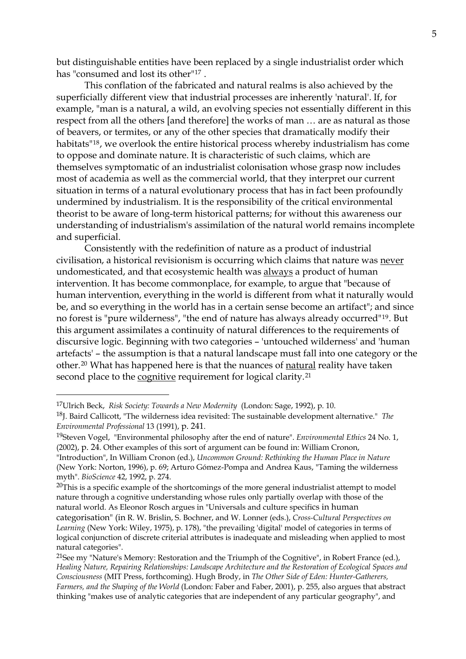but distinguishable entities have been replaced by a single industrialist order which has "consumed and lost its other"[17](#page-4-0) .

 This conflation of the fabricated and natural realms is also achieved by the superficially different view that industrial processes are inherently 'natural'. If, for example, "man is a natural, a wild, an evolving species not essentially different in this respect from all the others [and therefore] the works of man … are as natural as those of beavers, or termites, or any of the other species that dramatically modify their habitats"[18](#page-4-1), we overlook the entire historical process whereby industrialism has come to oppose and dominate nature. It is characteristic of such claims, which are themselves symptomatic of an industrialist colonisation whose grasp now includes most of academia as well as the commercial world, that they interpret our current situation in terms of a natural evolutionary process that has in fact been profoundly undermined by industrialism. It is the responsibility of the critical environmental theorist to be aware of long-term historical patterns; for without this awareness our understanding of industrialism's assimilation of the natural world remains incomplete and superficial.

 Consistently with the redefinition of nature as a product of industrial civilisation, a historical revisionism is occurring which claims that nature was never undomesticated, and that ecosystemic health was always a product of human intervention. It has become commonplace, for example, to argue that "because of human intervention, everything in the world is different from what it naturally would be, and so everything in the world has in a certain sense become an artifact"; and since no forest is "pure wilderness", "the end of nature has always already occurred"[19](#page-4-2). But this argument assimilates a continuity of natural differences to the requirements of discursive logic. Beginning with two categories – 'untouched wilderness' and 'human artefacts' – the assumption is that a natural landscape must fall into one category or the other.[20](#page-4-3) What has happened here is that the nuances of natural reality have taken second place to the cognitive requirement for logical clarity.<sup>[21](#page-4-4)</sup>

<span id="page-4-0"></span><sup>17</sup>Ulrich Beck, *Risk Society: Towards a New Modernity* (London: Sage, 1992), p. 10.

<span id="page-4-1"></span><sup>18</sup>J. Baird Callicott, "The wilderness idea revisited: The sustainable development alternative." *The Environmental Professional* 13 (1991), p. 241.

<span id="page-4-2"></span><sup>19</sup>Steven Vogel, "Environmental philosophy after the end of nature". *Environmental Ethics* 24 No. 1, (2002), p. 24. Other examples of this sort of argument can be found in: William Cronon,

<sup>&</sup>quot;Introduction", In William Cronon (ed.), *Uncommon Ground: Rethinking the Human Place in Nature* (New York: Norton, 1996), p. 69; Arturo Gómez-Pompa and Andrea Kaus, "Taming the wilderness myth". *BioScience* 42, 1992, p. 274.

<span id="page-4-3"></span> $20$ This is a specific example of the shortcomings of the more general industrialist attempt to model nature through a cognitive understanding whose rules only partially overlap with those of the natural world. As Eleonor Rosch argues in "Universals and culture specifics in human

categorisation" (in R. W. Brislin, S. Bochner, and W. Lonner (eds.), *Cross-Cultural Perspectives on Learning* (New York: Wiley, 1975), p. 178), "the prevailing 'digital' model of categories in terms of logical conjunction of discrete criterial attributes is inadequate and misleading when applied to most natural categories".

<span id="page-4-4"></span><sup>&</sup>lt;sup>21</sup>See my "Nature's Memory: Restoration and the Triumph of the Cognitive", in Robert France (ed.), *Healing Nature, Repairing Relationships: Landscape Architecture and the Restoration of Ecological Spaces and Consciousness* (MIT Press, forthcoming). Hugh Brody, in *The Other Side of Eden: Hunter-Gatherers, Farmers, and the Shaping of the World* (London: Faber and Faber, 2001), p. 255, also argues that abstract thinking "makes use of analytic categories that are independent of any particular geography", and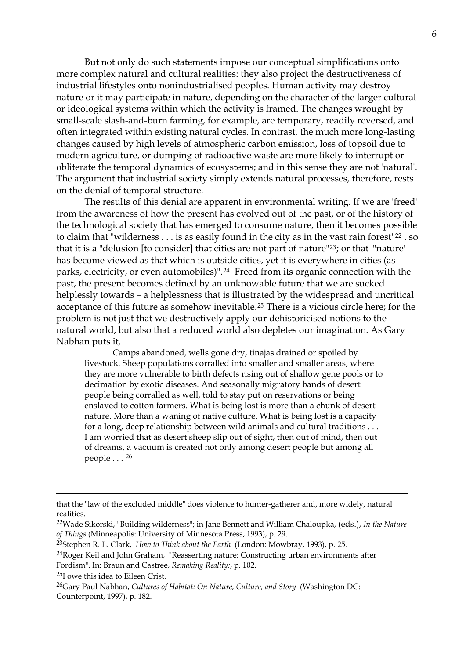But not only do such statements impose our conceptual simplifications onto more complex natural and cultural realities: they also project the destructiveness of industrial lifestyles onto nonindustrialised peoples. Human activity may destroy nature or it may participate in nature, depending on the character of the larger cultural or ideological systems within which the activity is framed. The changes wrought by small-scale slash-and-burn farming, for example, are temporary, readily reversed, and often integrated within existing natural cycles. In contrast, the much more long-lasting changes caused by high levels of atmospheric carbon emission, loss of topsoil due to modern agriculture, or dumping of radioactive waste are more likely to interrupt or obliterate the temporal dynamics of ecosystems; and in this sense they are not 'natural'. The argument that industrial society simply extends natural processes, therefore, rests on the denial of temporal structure.

 The results of this denial are apparent in environmental writing. If we are 'freed' from the awareness of how the present has evolved out of the past, or of the history of the technological society that has emerged to consume nature, then it becomes possible to claim that "wilderness . . . is as easily found in the city as in the vast rain forest"<sup>[22](#page-5-0)</sup>, so that it is a "delusion [to consider] that cities are not part of nature"[23](#page-5-1); or that "'nature' has become viewed as that which is outside cities, yet it is everywhere in cities (as parks, electricity, or even automobiles)".[24](#page-5-2) Freed from its organic connection with the past, the present becomes defined by an unknowable future that we are sucked helplessly towards – a helplessness that is illustrated by the widespread and uncritical acceptance of this future as somehow inevitable.[25](#page-5-3) There is a vicious circle here; for the problem is not just that we destructively apply our dehistoricised notions to the natural world, but also that a reduced world also depletes our imagination. As Gary Nabhan puts it,

 Camps abandoned, wells gone dry, tinajas drained or spoiled by livestock. Sheep populations corralled into smaller and smaller areas, where they are more vulnerable to birth defects rising out of shallow gene pools or to decimation by exotic diseases. And seasonally migratory bands of desert people being corralled as well, told to stay put on reservations or being enslaved to cotton farmers. What is being lost is more than a chunk of desert nature. More than a waning of native culture. What is being lost is a capacity for a long, deep relationship between wild animals and cultural traditions . . . I am worried that as desert sheep slip out of sight, then out of mind, then out of dreams, a vacuum is created not only among desert people but among all people . . . [26](#page-5-4)

that the "law of the excluded middle" does violence to hunter-gatherer and, more widely, natural realities.

<span id="page-5-0"></span><sup>22</sup>Wade Sikorski, "Building wilderness"; in Jane Bennett and William Chaloupka, (eds.), *In the Nature of Things* (Minneapolis: University of Minnesota Press, 1993), p. 29.

<span id="page-5-1"></span><sup>23</sup>Stephen R. L. Clark, *How to Think about the Earth* (London: Mowbray, 1993), p. 25.

<span id="page-5-2"></span><sup>24</sup>Roger Keil and John Graham, "Reasserting nature: Constructing urban environments after Fordism". In: Braun and Castree, *Remaking Reality:*, p. 102.

<span id="page-5-3"></span><sup>25</sup>I owe this idea to Eileen Crist.

<span id="page-5-4"></span><sup>26</sup>Gary Paul Nabhan, *Cultures of Habitat: On Nature, Culture, and Story* (Washington DC: Counterpoint, 1997), p. 182.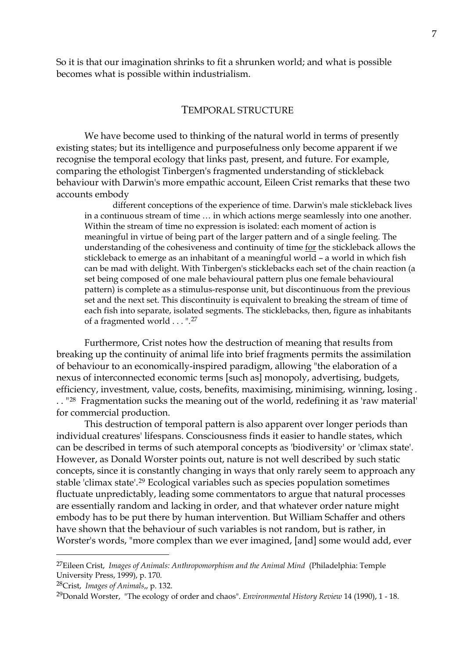So it is that our imagination shrinks to fit a shrunken world; and what is possible becomes what is possible within industrialism.

#### TEMPORAL STRUCTURE

 We have become used to thinking of the natural world in terms of presently existing states; but its intelligence and purposefulness only become apparent if we recognise the temporal ecology that links past, present, and future. For example, comparing the ethologist Tinbergen's fragmented understanding of stickleback behaviour with Darwin's more empathic account, Eileen Crist remarks that these two accounts embody

different conceptions of the experience of time. Darwin's male stickleback lives in a continuous stream of time … in which actions merge seamlessly into one another. Within the stream of time no expression is isolated: each moment of action is meaningful in virtue of being part of the larger pattern and of a single feeling. The understanding of the cohesiveness and continuity of time for the stickleback allows the stickleback to emerge as an inhabitant of a meaningful world – a world in which fish can be mad with delight. With Tinbergen's sticklebacks each set of the chain reaction (a set being composed of one male behavioural pattern plus one female behavioural pattern) is complete as a stimulus-response unit, but discontinuous from the previous set and the next set. This discontinuity is equivalent to breaking the stream of time of each fish into separate, isolated segments. The sticklebacks, then, figure as inhabitants of a fragmented world . . . ".[27](#page-6-0)

 Furthermore, Crist notes how the destruction of meaning that results from breaking up the continuity of animal life into brief fragments permits the assimilation of behaviour to an economically-inspired paradigm, allowing "the elaboration of a nexus of interconnected economic terms [such as] monopoly, advertising, budgets, efficiency, investment, value, costs, benefits, maximising, minimising, winning, losing . . . "[28](#page-6-1) Fragmentation sucks the meaning out of the world, redefining it as 'raw material' for commercial production.

 This destruction of temporal pattern is also apparent over longer periods than individual creatures' lifespans. Consciousness finds it easier to handle states, which can be described in terms of such atemporal concepts as 'biodiversity' or 'climax state'. However, as Donald Worster points out, nature is not well described by such static concepts, since it is constantly changing in ways that only rarely seem to approach any stable 'climax state'.[29](#page-6-2) Ecological variables such as species population sometimes fluctuate unpredictably, leading some commentators to argue that natural processes are essentially random and lacking in order, and that whatever order nature might embody has to be put there by human intervention. But William Schaffer and others have shown that the behaviour of such variables is not random, but is rather, in Worster's words, "more complex than we ever imagined, [and] some would add, ever

<span id="page-6-0"></span><sup>27</sup>Eileen Crist, *Images of Animals: Anthropomorphism and the Animal Mind* (Philadelphia: Temple University Press, 1999), p. 170.

<span id="page-6-1"></span><sup>28</sup>Crist, *Images of Animals*,, p. 132.

<span id="page-6-2"></span><sup>29</sup>Donald Worster, "The ecology of order and chaos". *Environmental History Review* 14 (1990), 1 - 18.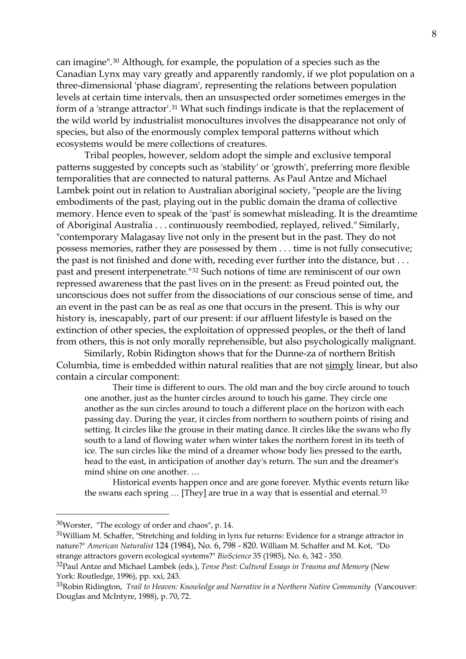can imagine".[30](#page-7-0) Although, for example, the population of a species such as the Canadian Lynx may vary greatly and apparently randomly, if we plot population on a three-dimensional 'phase diagram', representing the relations between population levels at certain time intervals, then an unsuspected order sometimes emerges in the form of a 'strange attractor'.[31](#page-7-1) What such findings indicate is that the replacement of the wild world by industrialist monocultures involves the disappearance not only of species, but also of the enormously complex temporal patterns without which ecosystems would be mere collections of creatures.

 Tribal peoples, however, seldom adopt the simple and exclusive temporal patterns suggested by concepts such as 'stability' or 'growth', preferring more flexible temporalities that are connected to natural patterns. As Paul Antze and Michael Lambek point out in relation to Australian aboriginal society, "people are the living embodiments of the past, playing out in the public domain the drama of collective memory. Hence even to speak of the 'past' is somewhat misleading. It is the dreamtime of Aboriginal Australia . . . continuously reembodied, replayed, relived." Similarly, "contemporary Malagasay live not only in the present but in the past. They do not possess memories, rather they are possessed by them . . . time is not fully consecutive; the past is not finished and done with, receding ever further into the distance, but . . . past and present interpenetrate."[32](#page-7-2) Such notions of time are reminiscent of our own repressed awareness that the past lives on in the present: as Freud pointed out, the unconscious does not suffer from the dissociations of our conscious sense of time, and an event in the past can be as real as one that occurs in the present. This is why our history is, inescapably, part of our present: if our affluent lifestyle is based on the extinction of other species, the exploitation of oppressed peoples, or the theft of land from others, this is not only morally reprehensible, but also psychologically malignant.

 Similarly, Robin Ridington shows that for the Dunne-za of northern British Columbia, time is embedded within natural realities that are not simply linear, but also contain a circular component:

Their time is different to ours. The old man and the boy circle around to touch one another, just as the hunter circles around to touch his game. They circle one another as the sun circles around to touch a different place on the horizon with each passing day. During the year, it circles from northern to southern points of rising and setting. It circles like the grouse in their mating dance. It circles like the swans who fly south to a land of flowing water when winter takes the northern forest in its teeth of ice. The sun circles like the mind of a dreamer whose body lies pressed to the earth, head to the east, in anticipation of another day's return. The sun and the dreamer's mind shine on one another. …

 Historical events happen once and are gone forever. Mythic events return like the swans each spring ... [They] are true in a way that is essential and eternal.<sup>[33](#page-7-3)</sup>

<span id="page-7-0"></span><sup>30</sup>Worster, "The ecology of order and chaos", p. 14.

<span id="page-7-1"></span><sup>31</sup>William M. Schaffer, "Stretching and folding in lynx fur returns: Evidence for a strange attractor in nature?" *American Naturalist* 124 (1984), No. 6, 798 - 820. William M. Schaffer and M. Kot, "Do strange attractors govern ecological systems?" *BioScience* 35 (1985), No. 6, 342 - 350.

<span id="page-7-2"></span><sup>32</sup>Paul Antze and Michael Lambek (eds.), *Tense Past: Cultural Essays in Trauma and Memory* (New York: Routledge, 1996), pp. xxi, 243.

<span id="page-7-3"></span><sup>33</sup>Robin Ridington, *Trail to Heaven: Knowledge and Narrative in a Northern Native Community* (Vancouver: Douglas and McIntyre, 1988), p. 70, 72.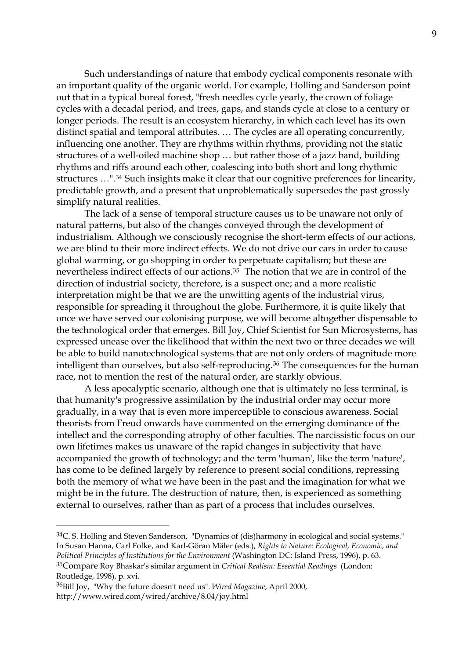Such understandings of nature that embody cyclical components resonate with an important quality of the organic world. For example, Holling and Sanderson point out that in a typical boreal forest, "fresh needles cycle yearly, the crown of foliage cycles with a decadal period, and trees, gaps, and stands cycle at close to a century or longer periods. The result is an ecosystem hierarchy, in which each level has its own distinct spatial and temporal attributes. … The cycles are all operating concurrently, influencing one another. They are rhythms within rhythms, providing not the static structures of a well-oiled machine shop … but rather those of a jazz band, building rhythms and riffs around each other, coalescing into both short and long rhythmic structures …".[34](#page-8-0) Such insights make it clear that our cognitive preferences for linearity, predictable growth, and a present that unproblematically supersedes the past grossly simplify natural realities.

 The lack of a sense of temporal structure causes us to be unaware not only of natural patterns, but also of the changes conveyed through the development of industrialism. Although we consciously recognise the short-term effects of our actions, we are blind to their more indirect effects. We do not drive our cars in order to cause global warming, or go shopping in order to perpetuate capitalism; but these are nevertheless indirect effects of our actions.[35](#page-8-1) The notion that we are in control of the direction of industrial society, therefore, is a suspect one; and a more realistic interpretation might be that we are the unwitting agents of the industrial virus, responsible for spreading it throughout the globe. Furthermore, it is quite likely that once we have served our colonising purpose, we will become altogether dispensable to the technological order that emerges. Bill Joy, Chief Scientist for Sun Microsystems, has expressed unease over the likelihood that within the next two or three decades we will be able to build nanotechnological systems that are not only orders of magnitude more intelligent than ourselves, but also self-reproducing.<sup>[36](#page-8-2)</sup> The consequences for the human race, not to mention the rest of the natural order, are starkly obvious.

 A less apocalyptic scenario, although one that is ultimately no less terminal, is that humanity's progressive assimilation by the industrial order may occur more gradually, in a way that is even more imperceptible to conscious awareness. Social theorists from Freud onwards have commented on the emerging dominance of the intellect and the corresponding atrophy of other faculties. The narcissistic focus on our own lifetimes makes us unaware of the rapid changes in subjectivity that have accompanied the growth of technology; and the term 'human', like the term 'nature', has come to be defined largely by reference to present social conditions, repressing both the memory of what we have been in the past and the imagination for what we might be in the future. The destruction of nature, then, is experienced as something external to ourselves, rather than as part of a process that includes ourselves.

<span id="page-8-0"></span> $34$ C. S. Holling and Steven Sanderson, "Dynamics of (dis)harmony in ecological and social systems." In Susan Hanna, Carl Folke, and Karl-Göran Mäler (eds.), *Rights to Nature: Ecological, Economic, and Political Principles of Institutions for the Environment* (Washington DC: Island Press, 1996), p. 63. 35Compare Roy Bhaskar's similar argument in *Critical Realism: Essential Readings* (London: Routledge, 1998), p. xvi.

<span id="page-8-2"></span><span id="page-8-1"></span><sup>36</sup>Bill Joy, "Why the future doesn't need us". *Wired Magazine*, April 2000, http://www.wired.com/wired/archive/8.04/joy.html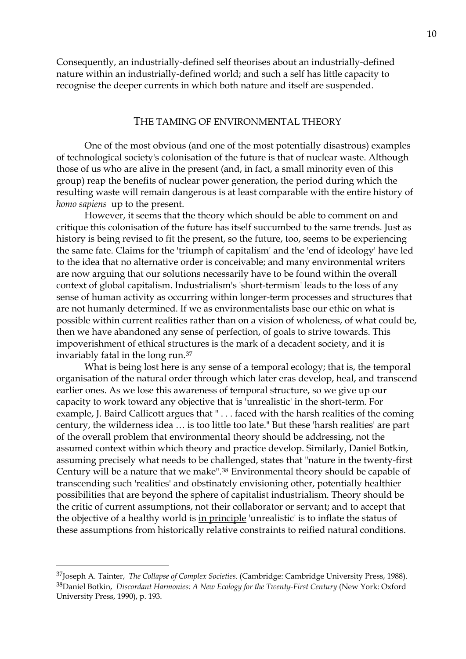Consequently, an industrially-defined self theorises about an industrially-defined nature within an industrially-defined world; and such a self has little capacity to recognise the deeper currents in which both nature and itself are suspended.

#### THE TAMING OF ENVIRONMENTAL THEORY

 One of the most obvious (and one of the most potentially disastrous) examples of technological society's colonisation of the future is that of nuclear waste. Although those of us who are alive in the present (and, in fact, a small minority even of this group) reap the benefits of nuclear power generation, the period during which the resulting waste will remain dangerous is at least comparable with the entire history of *homo sapiens* up to the present.

 However, it seems that the theory which should be able to comment on and critique this colonisation of the future has itself succumbed to the same trends. Just as history is being revised to fit the present, so the future, too, seems to be experiencing the same fate. Claims for the 'triumph of capitalism' and the 'end of ideology' have led to the idea that no alternative order is conceivable; and many environmental writers are now arguing that our solutions necessarily have to be found within the overall context of global capitalism. Industrialism's 'short-termism' leads to the loss of any sense of human activity as occurring within longer-term processes and structures that are not humanly determined. If we as environmentalists base our ethic on what is possible within current realities rather than on a vision of wholeness, of what could be, then we have abandoned any sense of perfection, of goals to strive towards. This impoverishment of ethical structures is the mark of a decadent society, and it is invariably fatal in the long run.[37](#page-9-0)

 What is being lost here is any sense of a temporal ecology; that is, the temporal organisation of the natural order through which later eras develop, heal, and transcend earlier ones. As we lose this awareness of temporal structure, so we give up our capacity to work toward any objective that is 'unrealistic' in the short-term. For example, J. Baird Callicott argues that " . . . faced with the harsh realities of the coming century, the wilderness idea … is too little too late." But these 'harsh realities' are part of the overall problem that environmental theory should be addressing, not the assumed context within which theory and practice develop. Similarly, Daniel Botkin, assuming precisely what needs to be challenged, states that "nature in the twenty-first Century will be a nature that we make".[38](#page-9-1) Environmental theory should be capable of transcending such 'realities' and obstinately envisioning other, potentially healthier possibilities that are beyond the sphere of capitalist industrialism. Theory should be the critic of current assumptions, not their collaborator or servant; and to accept that the objective of a healthy world is in principle 'unrealistic' is to inflate the status of these assumptions from historically relative constraints to reified natural conditions.

<span id="page-9-1"></span><span id="page-9-0"></span><sup>37</sup>Joseph A. Tainter, *The Collapse of Complex Societies*. (Cambridge: Cambridge University Press, 1988). 38Daniel Botkin, *Discordant Harmonies: A New Ecology for the Twenty-First Century* (New York: Oxford University Press, 1990), p. 193.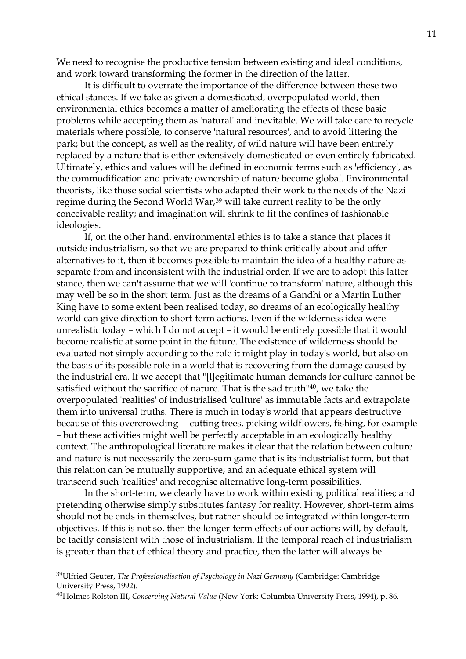We need to recognise the productive tension between existing and ideal conditions, and work toward transforming the former in the direction of the latter.

 It is difficult to overrate the importance of the difference between these two ethical stances. If we take as given a domesticated, overpopulated world, then environmental ethics becomes a matter of ameliorating the effects of these basic problems while accepting them as 'natural' and inevitable. We will take care to recycle materials where possible, to conserve 'natural resources', and to avoid littering the park; but the concept, as well as the reality, of wild nature will have been entirely replaced by a nature that is either extensively domesticated or even entirely fabricated. Ultimately, ethics and values will be defined in economic terms such as 'efficiency', as the commodification and private ownership of nature become global. Environmental theorists, like those social scientists who adapted their work to the needs of the Nazi regime during the Second World War,<sup>[39](#page-10-0)</sup> will take current reality to be the only conceivable reality; and imagination will shrink to fit the confines of fashionable ideologies.

 If, on the other hand, environmental ethics is to take a stance that places it outside industrialism, so that we are prepared to think critically about and offer alternatives to it, then it becomes possible to maintain the idea of a healthy nature as separate from and inconsistent with the industrial order. If we are to adopt this latter stance, then we can't assume that we will 'continue to transform' nature, although this may well be so in the short term. Just as the dreams of a Gandhi or a Martin Luther King have to some extent been realised today, so dreams of an ecologically healthy world can give direction to short-term actions. Even if the wilderness idea were unrealistic today – which I do not accept – it would be entirely possible that it would become realistic at some point in the future. The existence of wilderness should be evaluated not simply according to the role it might play in today's world, but also on the basis of its possible role in a world that is recovering from the damage caused by the industrial era. If we accept that "[l]egitimate human demands for culture cannot be satisfied without the sacrifice of nature. That is the sad truth"[40](#page-10-1), we take the overpopulated 'realities' of industrialised 'culture' as immutable facts and extrapolate them into universal truths. There is much in today's world that appears destructive because of this overcrowding – cutting trees, picking wildflowers, fishing, for example – but these activities might well be perfectly acceptable in an ecologically healthy context. The anthropological literature makes it clear that the relation between culture and nature is not necessarily the zero-sum game that is its industrialist form, but that this relation can be mutually supportive; and an adequate ethical system will transcend such 'realities' and recognise alternative long-term possibilities.

 In the short-term, we clearly have to work within existing political realities; and pretending otherwise simply substitutes fantasy for reality. However, short-term aims should not be ends in themselves, but rather should be integrated within longer-term objectives. If this is not so, then the longer-term effects of our actions will, by default, be tacitly consistent with those of industrialism. If the temporal reach of industrialism is greater than that of ethical theory and practice, then the latter will always be

<span id="page-10-0"></span><sup>39</sup>Ulfried Geuter, *The Professionalisation of Psychology in Nazi Germany* (Cambridge: Cambridge University Press, 1992).

<span id="page-10-1"></span><sup>40</sup>Holmes Rolston III, *Conserving Natural Value* (New York: Columbia University Press, 1994), p. 86.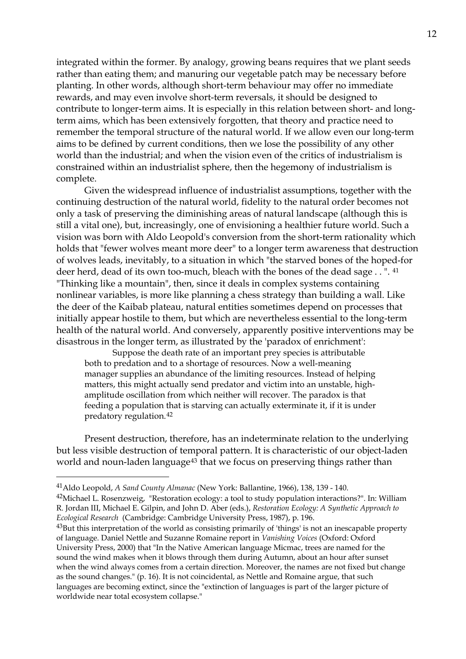integrated within the former. By analogy, growing beans requires that we plant seeds rather than eating them; and manuring our vegetable patch may be necessary before planting. In other words, although short-term behaviour may offer no immediate rewards, and may even involve short-term reversals, it should be designed to contribute to longer-term aims. It is especially in this relation between short- and longterm aims, which has been extensively forgotten, that theory and practice need to remember the temporal structure of the natural world. If we allow even our long-term aims to be defined by current conditions, then we lose the possibility of any other world than the industrial; and when the vision even of the critics of industrialism is constrained within an industrialist sphere, then the hegemony of industrialism is complete.

 Given the widespread influence of industrialist assumptions, together with the continuing destruction of the natural world, fidelity to the natural order becomes not only a task of preserving the diminishing areas of natural landscape (although this is still a vital one), but, increasingly, one of envisioning a healthier future world. Such a vision was born with Aldo Leopold's conversion from the short-term rationality which holds that "fewer wolves meant more deer" to a longer term awareness that destruction of wolves leads, inevitably, to a situation in which "the starved bones of the hoped-for deer herd, dead of its own too-much, bleach with the bones of the dead sage . . ". [41](#page-11-0) "Thinking like a mountain", then, since it deals in complex systems containing nonlinear variables, is more like planning a chess strategy than building a wall. Like the deer of the Kaibab plateau, natural entities sometimes depend on processes that initially appear hostile to them, but which are nevertheless essential to the long-term health of the natural world. And conversely, apparently positive interventions may be disastrous in the longer term, as illustrated by the 'paradox of enrichment':

Suppose the death rate of an important prey species is attributable both to predation and to a shortage of resources. Now a well-meaning manager supplies an abundance of the limiting resources. Instead of helping matters, this might actually send predator and victim into an unstable, highamplitude oscillation from which neither will recover. The paradox is that feeding a population that is starving can actually exterminate it, if it is under predatory regulation.[42](#page-11-1)

 Present destruction, therefore, has an indeterminate relation to the underlying but less visible destruction of temporal pattern. It is characteristic of our object-laden world and noun-laden language<sup>[43](#page-11-2)</sup> that we focus on preserving things rather than

<span id="page-11-0"></span><sup>41</sup>Aldo Leopold, *A Sand County Almanac* (New York: Ballantine, 1966), 138, 139 - 140.

<span id="page-11-1"></span><sup>&</sup>lt;sup>42</sup>Michael L. Rosenzweig, "Restoration ecology: a tool to study population interactions?". In: William R. Jordan III, Michael E. Gilpin, and John D. Aber (eds.), *Restoration Ecology: A Synthetic Approach to Ecological Research* (Cambridge: Cambridge University Press, 1987), p. 196.

<span id="page-11-2"></span><sup>43</sup>But this interpretation of the world as consisting primarily of 'things' is not an inescapable property of language. Daniel Nettle and Suzanne Romaine report in *Vanishing Voices* (Oxford: Oxford University Press, 2000) that "In the Native American language Micmac, trees are named for the sound the wind makes when it blows through them during Autumn, about an hour after sunset when the wind always comes from a certain direction. Moreover, the names are not fixed but change as the sound changes." (p. 16). It is not coincidental, as Nettle and Romaine argue, that such languages are becoming extinct, since the "extinction of languages is part of the larger picture of worldwide near total ecosystem collapse."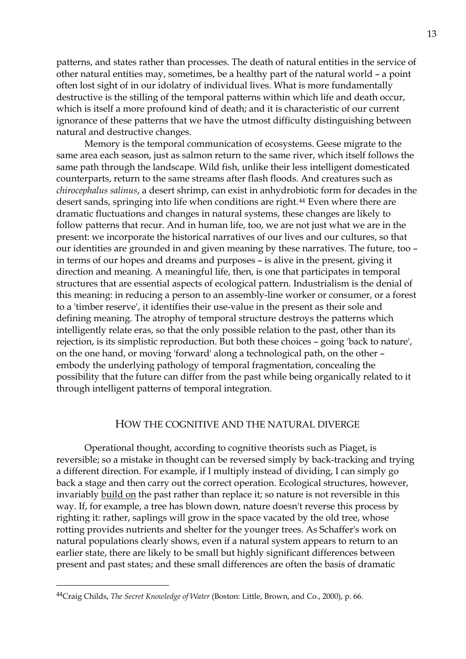patterns, and states rather than processes. The death of natural entities in the service of other natural entities may, sometimes, be a healthy part of the natural world – a point often lost sight of in our idolatry of individual lives. What is more fundamentally destructive is the stilling of the temporal patterns within which life and death occur, which is itself a more profound kind of death; and it is characteristic of our current ignorance of these patterns that we have the utmost difficulty distinguishing between natural and destructive changes.

 Memory is the temporal communication of ecosystems. Geese migrate to the same area each season, just as salmon return to the same river, which itself follows the same path through the landscape. Wild fish, unlike their less intelligent domesticated counterparts, return to the same streams after flash floods. And creatures such as *chirocephalus salinus*, a desert shrimp, can exist in anhydrobiotic form for decades in the desert sands, springing into life when conditions are right.<sup>[44](#page-12-0)</sup> Even where there are dramatic fluctuations and changes in natural systems, these changes are likely to follow patterns that recur. And in human life, too, we are not just what we are in the present: we incorporate the historical narratives of our lives and our cultures, so that our identities are grounded in and given meaning by these narratives. The future, too – in terms of our hopes and dreams and purposes – is alive in the present, giving it direction and meaning. A meaningful life, then, is one that participates in temporal structures that are essential aspects of ecological pattern. Industrialism is the denial of this meaning: in reducing a person to an assembly-line worker or consumer, or a forest to a 'timber reserve', it identifies their use-value in the present as their sole and defining meaning. The atrophy of temporal structure destroys the patterns which intelligently relate eras, so that the only possible relation to the past, other than its rejection, is its simplistic reproduction. But both these choices – going 'back to nature', on the one hand, or moving 'forward' along a technological path, on the other – embody the underlying pathology of temporal fragmentation, concealing the possibility that the future can differ from the past while being organically related to it through intelligent patterns of temporal integration.

# HOW THE COGNITIVE AND THE NATURAL DIVERGE

 Operational thought, according to cognitive theorists such as Piaget, is reversible; so a mistake in thought can be reversed simply by back-tracking and trying a different direction. For example, if I multiply instead of dividing, I can simply go back a stage and then carry out the correct operation. Ecological structures, however, invariably build on the past rather than replace it; so nature is not reversible in this way. If, for example, a tree has blown down, nature doesn't reverse this process by righting it: rather, saplings will grow in the space vacated by the old tree, whose rotting provides nutrients and shelter for the younger trees. As Schaffer's work on natural populations clearly shows, even if a natural system appears to return to an earlier state, there are likely to be small but highly significant differences between present and past states; and these small differences are often the basis of dramatic

<span id="page-12-0"></span><sup>44</sup>Craig Childs, *The Secret Knowledge of Water* (Boston: Little, Brown, and Co., 2000), p. 66.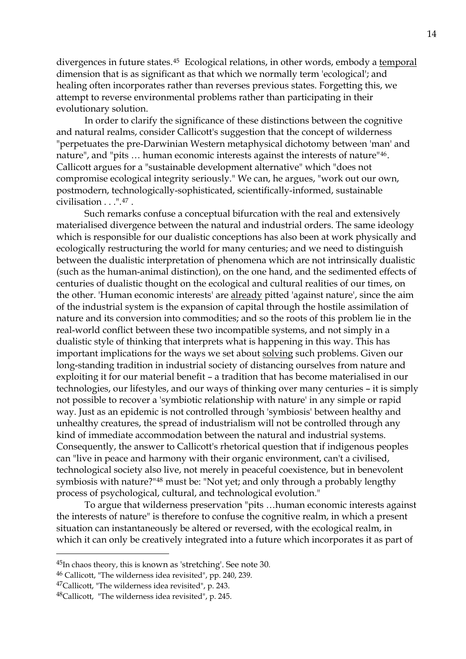divergences in future states.<sup>[45](#page-13-0)</sup> Ecological relations, in other words, embody a temporal dimension that is as significant as that which we normally term 'ecological'; and healing often incorporates rather than reverses previous states. Forgetting this, we attempt to reverse environmental problems rather than participating in their evolutionary solution.

 In order to clarify the significance of these distinctions between the cognitive and natural realms, consider Callicott's suggestion that the concept of wilderness "perpetuates the pre-Darwinian Western metaphysical dichotomy between 'man' and nature", and "pits … human economic interests against the interests of nature"[46](#page-13-1). Callicott argues for a "sustainable development alternative" which "does not compromise ecological integrity seriously." We can, he argues, "work out our own, postmodern, technologically-sophisticated, scientifically-informed, sustainable civilisation . . .".[47](#page-13-2) .

 Such remarks confuse a conceptual bifurcation with the real and extensively materialised divergence between the natural and industrial orders. The same ideology which is responsible for our dualistic conceptions has also been at work physically and ecologically restructuring the world for many centuries; and we need to distinguish between the dualistic interpretation of phenomena which are not intrinsically dualistic (such as the human-animal distinction), on the one hand, and the sedimented effects of centuries of dualistic thought on the ecological and cultural realities of our times, on the other. 'Human economic interests' are already pitted 'against nature', since the aim of the industrial system is the expansion of capital through the hostile assimilation of nature and its conversion into commodities; and so the roots of this problem lie in the real-world conflict between these two incompatible systems, and not simply in a dualistic style of thinking that interprets what is happening in this way. This has important implications for the ways we set about solving such problems. Given our long-standing tradition in industrial society of distancing ourselves from nature and exploiting it for our material benefit – a tradition that has become materialised in our technologies, our lifestyles, and our ways of thinking over many centuries – it is simply not possible to recover a 'symbiotic relationship with nature' in any simple or rapid way. Just as an epidemic is not controlled through 'symbiosis' between healthy and unhealthy creatures, the spread of industrialism will not be controlled through any kind of immediate accommodation between the natural and industrial systems. Consequently, the answer to Callicott's rhetorical question that if indigenous peoples can "live in peace and harmony with their organic environment, can't a civilised, technological society also live, not merely in peaceful coexistence, but in benevolent symbiosis with nature?"[48](#page-13-3) must be: "Not yet; and only through a probably lengthy process of psychological, cultural, and technological evolution."

 To argue that wilderness preservation "pits …human economic interests against the interests of nature" is therefore to confuse the cognitive realm, in which a present situation can instantaneously be altered or reversed, with the ecological realm, in which it can only be creatively integrated into a future which incorporates it as part of

<span id="page-13-0"></span><sup>45</sup>In chaos theory, this is known as 'stretching'. See note 30.

<span id="page-13-1"></span><sup>46</sup> Callicott, "The wilderness idea revisited", pp. 240, 239.

<span id="page-13-2"></span><sup>47</sup>Callicott, "The wilderness idea revisited", p. 243.

<span id="page-13-3"></span><sup>48</sup>Callicott, "The wilderness idea revisited", p. 245.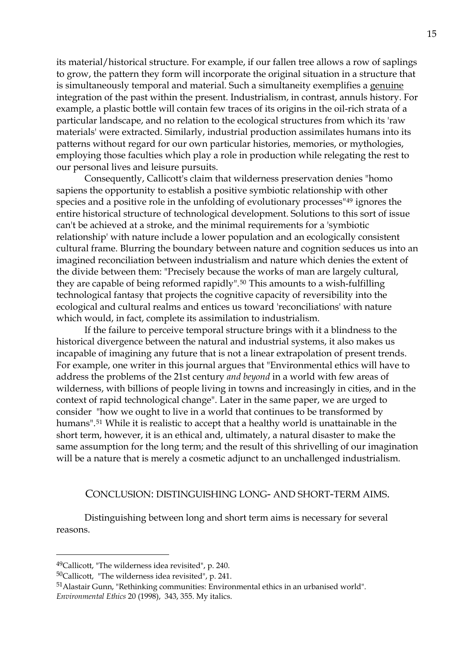its material/historical structure. For example, if our fallen tree allows a row of saplings to grow, the pattern they form will incorporate the original situation in a structure that is simultaneously temporal and material. Such a simultaneity exemplifies a genuine integration of the past within the present. Industrialism, in contrast, annuls history. For example, a plastic bottle will contain few traces of its origins in the oil-rich strata of a particular landscape, and no relation to the ecological structures from which its 'raw materials' were extracted. Similarly, industrial production assimilates humans into its patterns without regard for our own particular histories, memories, or mythologies, employing those faculties which play a role in production while relegating the rest to our personal lives and leisure pursuits.

 Consequently, Callicott's claim that wilderness preservation denies "homo sapiens the opportunity to establish a positive symbiotic relationship with other species and a positive role in the unfolding of evolutionary processes"[49](#page-14-0) ignores the entire historical structure of technological development. Solutions to this sort of issue can't be achieved at a stroke, and the minimal requirements for a 'symbiotic relationship' with nature include a lower population and an ecologically consistent cultural frame. Blurring the boundary between nature and cognition seduces us into an imagined reconciliation between industrialism and nature which denies the extent of the divide between them: "Precisely because the works of man are largely cultural, they are capable of being reformed rapidly".<sup>[50](#page-14-1)</sup> This amounts to a wish-fulfilling technological fantasy that projects the cognitive capacity of reversibility into the ecological and cultural realms and entices us toward 'reconciliations' with nature which would, in fact, complete its assimilation to industrialism.

 If the failure to perceive temporal structure brings with it a blindness to the historical divergence between the natural and industrial systems, it also makes us incapable of imagining any future that is not a linear extrapolation of present trends. For example, one writer in this journal argues that "Environmental ethics will have to address the problems of the 21st century *and beyond* in a world with few areas of wilderness, with billions of people living in towns and increasingly in cities, and in the context of rapid technological change". Later in the same paper, we are urged to consider "how we ought to live in a world that continues to be transformed by humans".[51](#page-14-2) While it is realistic to accept that a healthy world is unattainable in the short term, however, it is an ethical and, ultimately, a natural disaster to make the same assumption for the long term; and the result of this shrivelling of our imagination will be a nature that is merely a cosmetic adjunct to an unchallenged industrialism.

#### CONCLUSION: DISTINGUISHING LONG- AND SHORT-TERM AIMS.

 Distinguishing between long and short term aims is necessary for several reasons.

<span id="page-14-0"></span><sup>49</sup>Callicott, "The wilderness idea revisited", p. 240.

<span id="page-14-1"></span><sup>50</sup>Callicott, "The wilderness idea revisited", p. 241.

<span id="page-14-2"></span><sup>51</sup>Alastair Gunn, "Rethinking communities: Environmental ethics in an urbanised world". *Environmental Ethics* 20 (1998), 343, 355. My italics.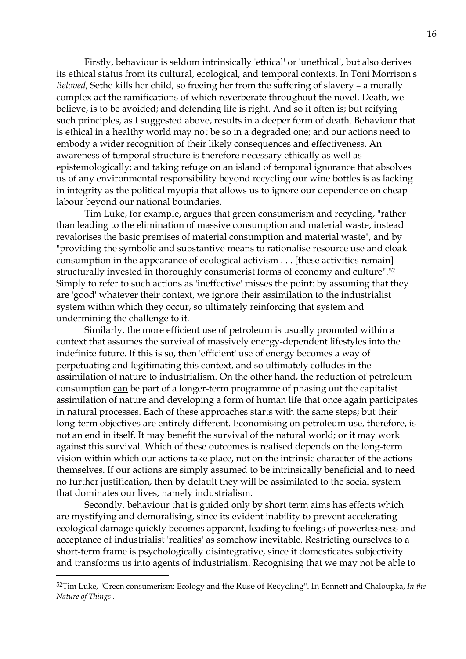Firstly, behaviour is seldom intrinsically 'ethical' or 'unethical', but also derives its ethical status from its cultural, ecological, and temporal contexts. In Toni Morrison's *Beloved*, Sethe kills her child, so freeing her from the suffering of slavery – a morally complex act the ramifications of which reverberate throughout the novel. Death, we believe, is to be avoided; and defending life is right. And so it often is; but reifying such principles, as I suggested above, results in a deeper form of death. Behaviour that is ethical in a healthy world may not be so in a degraded one; and our actions need to embody a wider recognition of their likely consequences and effectiveness. An awareness of temporal structure is therefore necessary ethically as well as epistemologically; and taking refuge on an island of temporal ignorance that absolves us of any environmental responsibility beyond recycling our wine bottles is as lacking in integrity as the political myopia that allows us to ignore our dependence on cheap labour beyond our national boundaries.

 Tim Luke, for example, argues that green consumerism and recycling, "rather than leading to the elimination of massive consumption and material waste, instead revalorises the basic premises of material consumption and material waste", and by "providing the symbolic and substantive means to rationalise resource use and cloak consumption in the appearance of ecological activism . . . [these activities remain] structurally invested in thoroughly consumerist forms of economy and culture".[52](#page-15-0) Simply to refer to such actions as 'ineffective' misses the point: by assuming that they are 'good' whatever their context, we ignore their assimilation to the industrialist system within which they occur, so ultimately reinforcing that system and undermining the challenge to it.

 Similarly, the more efficient use of petroleum is usually promoted within a context that assumes the survival of massively energy-dependent lifestyles into the indefinite future. If this is so, then 'efficient' use of energy becomes a way of perpetuating and legitimating this context, and so ultimately colludes in the assimilation of nature to industrialism. On the other hand, the reduction of petroleum consumption can be part of a longer-term programme of phasing out the capitalist assimilation of nature and developing a form of human life that once again participates in natural processes. Each of these approaches starts with the same steps; but their long-term objectives are entirely different. Economising on petroleum use, therefore, is not an end in itself. It may benefit the survival of the natural world; or it may work against this survival. Which of these outcomes is realised depends on the long-term vision within which our actions take place, not on the intrinsic character of the actions themselves. If our actions are simply assumed to be intrinsically beneficial and to need no further justification, then by default they will be assimilated to the social system that dominates our lives, namely industrialism.

 Secondly, behaviour that is guided only by short term aims has effects which are mystifying and demoralising, since its evident inability to prevent accelerating ecological damage quickly becomes apparent, leading to feelings of powerlessness and acceptance of industrialist 'realities' as somehow inevitable. Restricting ourselves to a short-term frame is psychologically disintegrative, since it domesticates subjectivity and transforms us into agents of industrialism. Recognising that we may not be able to

<span id="page-15-0"></span><sup>52</sup>Tim Luke, "Green consumerism: Ecology and the Ruse of Recycling". In Bennett and Chaloupka, *In the Nature of Things* .